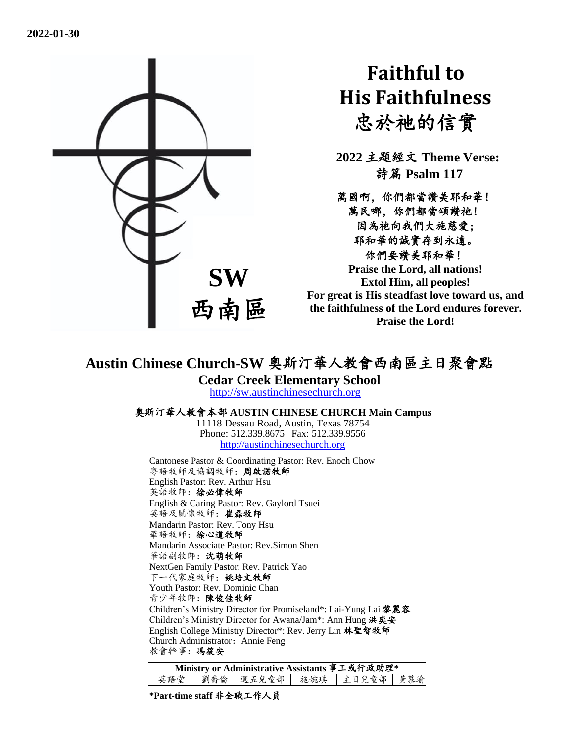

# **Faithful to His Faithfulness** 忠於祂的信實

**2022** 主題經文 **Theme Verse:** 詩篇 **Psalm 117**

萬國啊,你們都當讚美耶和華! 萬民哪,你們都當頌讚祂! 因為祂向我們大施慈愛; 耶和華的誠實存到永遠。 你們要讚美耶和華! **Praise the Lord, all nations!** 

**Extol Him, all peoples! For great is His steadfast love toward us, and the faithfulness of the Lord endures forever. Praise the Lord!**

## **Austin Chinese Church-SW** 奧斯汀華人教會西南區主日聚會點

**Cedar Creek Elementary School**

[http://sw.austinchinesechurch.org](http://sw.austinchinesechurch.org/)

#### 奧斯汀華人教會本部 **AUSTIN CHINESE CHURCH Main Campus**

11118 Dessau Road, Austin, Texas 78754 Phone: 512.339.8675 Fax: 512.339.9556 [http://austinchinesechurch.org](http://austinchinesechurch.org/)

Cantonese Pastor & Coordinating Pastor: Rev. Enoch Chow 粵語牧師及協調牧師:周啟諾牧師 English Pastor: Rev. Arthur Hsu 英語牧師: 徐必偉牧師 English & Caring Pastor: Rev. Gaylord Tsuei 英語及關懷牧師:崔磊牧師 Mandarin Pastor: Rev. Tony Hsu 華語牧師:徐心道牧師 Mandarin Associate Pastor: Rev.Simon Shen 華語副牧師:沈萌牧師 NextGen Family Pastor: Rev. Patrick Yao 下一代家庭牧師:姚培文牧師 Youth Pastor: Rev. Dominic Chan 青少年牧師:陳俊佳牧師 Children's Ministry Director for Promiseland\*: Lai-Yung Lai 黎麗容 Children's Ministry Director for Awana/Jam\*: Ann Hung 洪奕安 English College Ministry Director\*: Rev. Jerry Lin 林聖智牧師 Church Administrator: Annie Feng 教會幹事:馮筱安

| Ministry or Administrative Assistants 事工或行政助理* |  |  |  |                                 |  |  |  |
|------------------------------------------------|--|--|--|---------------------------------|--|--|--|
| 英語堂                                            |  |  |  | 劉喬倫   週五兒童部   施婉琪   主日兒童部   黄慕瑜 |  |  |  |

**\*Part-time staff** 非全職工作人員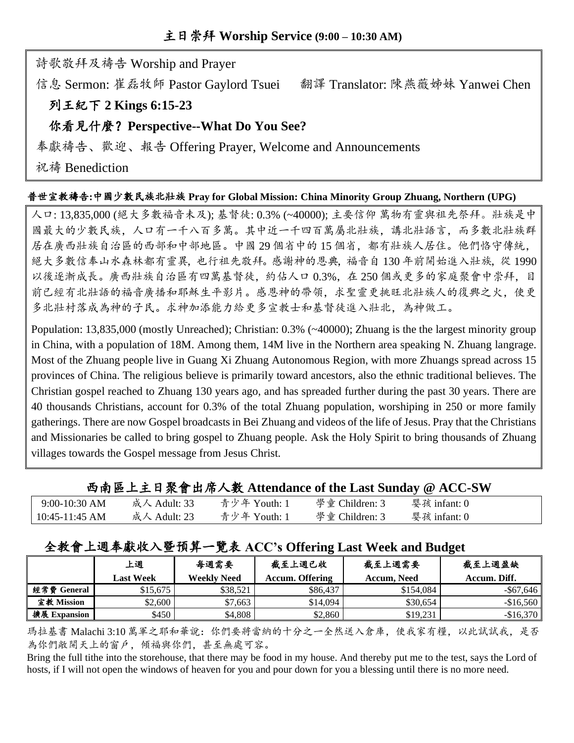詩歌敬拜及禱告 Worship and Prayer

信息 Sermon: 崔磊牧師 Pastor Gaylord Tsuei 翻譯 Translator: 陳燕薇姊妹 Yanwei Chen

## 列王紀下 **2 Kings 6:15-23**

## 你看見什麼?**Perspective--What Do You See?**

奉獻禱告、歡迎、報告 Offering Prayer, Welcome and Announcements

祝禱 Benediction

#### 普世宣教禱告**:**中國少數民族北壯族 **Pray for Global Mission: China Minority Group Zhuang, Northern (UPG)**

人口: 13,835,000 (絕大多數福音未及); 基督徒: 0.3% (~40000); 主要信仰 萬物有靈與祖先祭拜。壯族是中 國最大的少數民族,人口有一千八百多萬。其中近一千四百萬屬北壯族,講北壯語言,而多數北壯族群 居在廣西壯族自治區的西部和中部地區。中國 29 個省中的 15 個省,都有壯族人居住。他們恪守傳統, 絕大多數信奉山水森林都有靈異,也行祖先敬拜。感謝神的恩典,福音自 130 年前開始進入壯族,從 1990 以後逐漸成長。廣西壯族自治區有四萬基督徒,約佔人口 0.3%, 在 250 個或更多的家庭聚會中崇拜, 目 前已經有北壯語的福音廣播和耶穌生平影片。感恩神的帶領,求聖靈更挑旺北壯族人的復興之火,使更 多北壯村落成為神的子民。求神加添能力給更多宣教士和基督徒進入壯北,為神做工。

Population: 13,835,000 (mostly Unreached); Christian: 0.3% (~40000); Zhuang is the the largest minority group in China, with a population of 18M. Among them, 14M live in the Northern area speaking N. Zhuang langrage. Most of the Zhuang people live in Guang Xi Zhuang Autonomous Region, with more Zhuangs spread across 15 provinces of China. The religious believe is primarily toward ancestors, also the ethnic traditional believes. The Christian gospel reached to Zhuang 130 years ago, and has spreaded further during the past 30 years. There are 40 thousands Christians, account for 0.3% of the total Zhuang population, worshiping in 250 or more family gatherings. There are now Gospel broadcasts in Bei Zhuang and videos of the life of Jesus. Pray that the Christians and Missionaries be called to bring gospel to Zhuang people. Ask the Holy Spirit to bring thousands of Zhuang villages towards the Gospel message from Jesus Christ.

|                  |              |              | 內南區上王日衆實出席入數 Attendance of the Last Sunday @ ACC-SW |                |  |
|------------------|--------------|--------------|-----------------------------------------------------|----------------|--|
| $9:00-10:30$ AM  | 成人 Adult: 33 | 青少年 Youth: 1 | 學童 Children: 3                                      | - 婴孩 infant: 0 |  |
| $10:45-11:45$ AM | 成人 Adult: 23 | 青少年 Youth: 1 | 學童 Children: 3                                      | 婴孩 infant: 0   |  |

## 西南區上主日聚會出席人數 **Attendance of the Last Sunday @ ACC-SW**

## 全教會上週奉獻收入暨預算一覽表 **ACC's Offering Last Week and Budget**

|              | 上週               | 每週需要               | 截至上週已收                 | 截至上週需要      | 截至上週盈缺       |
|--------------|------------------|--------------------|------------------------|-------------|--------------|
|              | <b>Last Week</b> | <b>Weekly Need</b> | <b>Accum. Offering</b> | Accum, Need | Accum. Diff. |
| 經常費 General  | \$15,675         | \$38.521           | \$86,437               | \$154,084   | $-$ \$67,646 |
| 宣教 Mission   | \$2,600          | \$7,663            | \$14,094               | \$30.654    | $-\$16,560$  |
| 擴展 Expansion | \$450            | \$4,808            | \$2,860                | \$19.231    | $-$ \$16,370 |

瑪拉基書 Malachi 3:10 萬軍之耶和華說:你們要將當納的十分之一全然送入倉庫,使我家有糧,以此試試我,是否 為你們敞開天上的窗戶,傾福與你們,甚至無處可容。

Bring the full tithe into the storehouse, that there may be food in my house. And thereby put me to the test, says the Lord of hosts, if I will not open the windows of heaven for you and pour down for you a blessing until there is no more need.